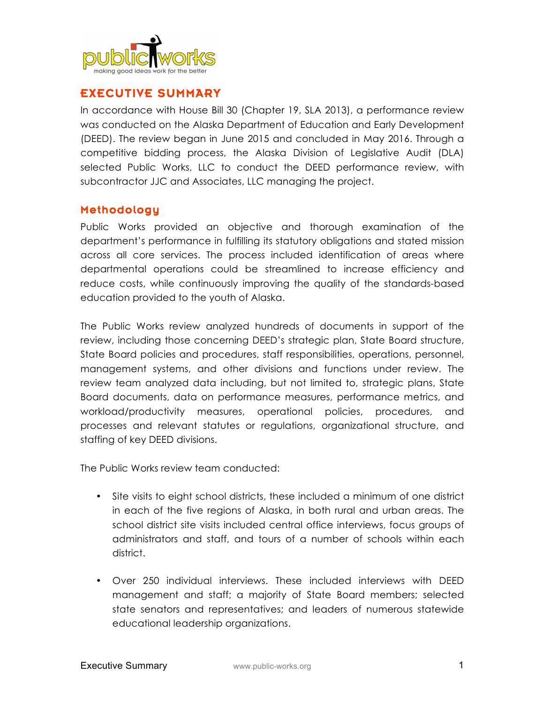

# EXECUTIVE SUMMARY

In accordance with House Bill 30 (Chapter 19, SLA 2013), a performance review was conducted on the Alaska Department of Education and Early Development (DEED). The review began in June 2015 and concluded in May 2016. Through a competitive bidding process, the Alaska Division of Legislative Audit (DLA) selected Public Works, LLC to conduct the DEED performance review, with subcontractor JJC and Associates, LLC managing the project.

#### Methodology

Public Works provided an objective and thorough examination of the department's performance in fulfilling its statutory obligations and stated mission across all core services. The process included identification of areas where departmental operations could be streamlined to increase efficiency and reduce costs, while continuously improving the quality of the standards-based education provided to the youth of Alaska.

The Public Works review analyzed hundreds of documents in support of the review, including those concerning DEED's strategic plan, State Board structure, State Board policies and procedures, staff responsibilities, operations, personnel, management systems, and other divisions and functions under review. The review team analyzed data including, but not limited to, strategic plans, State Board documents, data on performance measures, performance metrics, and workload/productivity measures, operational policies, procedures, and processes and relevant statutes or regulations, organizational structure, and staffing of key DEED divisions.

The Public Works review team conducted:

- Site visits to eight school districts, these included a minimum of one district in each of the five regions of Alaska, in both rural and urban areas. The school district site visits included central office interviews, focus groups of administrators and staff, and tours of a number of schools within each district.
- Over 250 individual interviews. These included interviews with DEED management and staff; a majority of State Board members; selected state senators and representatives; and leaders of numerous statewide educational leadership organizations.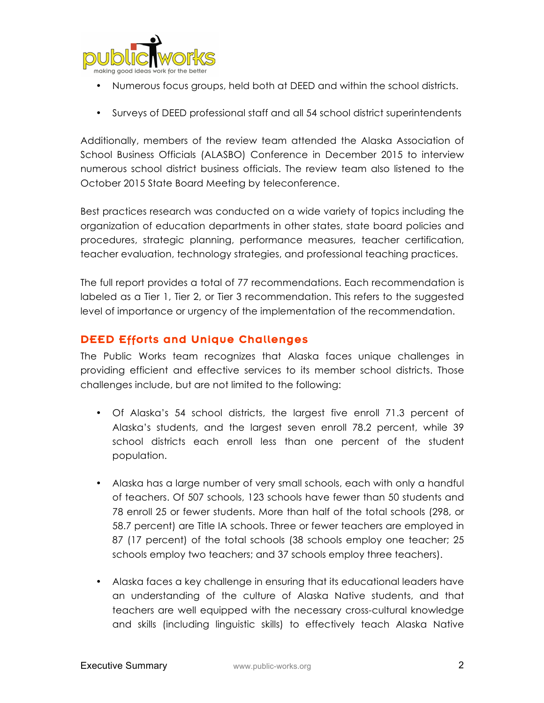

- Numerous focus groups, held both at DEED and within the school districts.
- Surveys of DEED professional staff and all 54 school district superintendents

Additionally, members of the review team attended the Alaska Association of School Business Officials (ALASBO) Conference in December 2015 to interview numerous school district business officials. The review team also listened to the October 2015 State Board Meeting by teleconference.

Best practices research was conducted on a wide variety of topics including the organization of education departments in other states, state board policies and procedures, strategic planning, performance measures, teacher certification, teacher evaluation, technology strategies, and professional teaching practices.

The full report provides a total of 77 recommendations. Each recommendation is labeled as a Tier 1, Tier 2, or Tier 3 recommendation. This refers to the suggested level of importance or urgency of the implementation of the recommendation.

### DEED Efforts and Unique Challenges

The Public Works team recognizes that Alaska faces unique challenges in providing efficient and effective services to its member school districts. Those challenges include, but are not limited to the following:

- Of Alaska's 54 school districts, the largest five enroll 71.3 percent of Alaska's students, and the largest seven enroll 78.2 percent, while 39 school districts each enroll less than one percent of the student population.
- Alaska has a large number of very small schools, each with only a handful of teachers. Of 507 schools, 123 schools have fewer than 50 students and 78 enroll 25 or fewer students. More than half of the total schools (298, or 58.7 percent) are Title IA schools. Three or fewer teachers are employed in 87 (17 percent) of the total schools (38 schools employ one teacher; 25 schools employ two teachers; and 37 schools employ three teachers).
- Alaska faces a key challenge in ensuring that its educational leaders have an understanding of the culture of Alaska Native students, and that teachers are well equipped with the necessary cross-cultural knowledge and skills (including linguistic skills) to effectively teach Alaska Native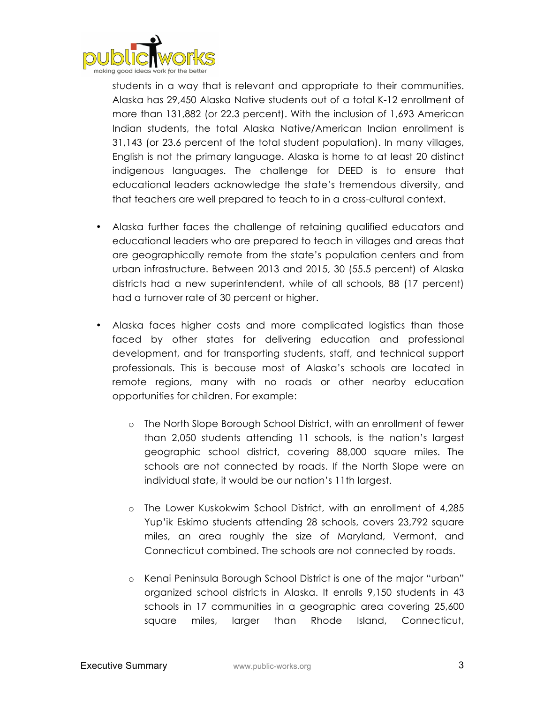

students in a way that is relevant and appropriate to their communities. Alaska has 29,450 Alaska Native students out of a total K-12 enrollment of more than 131,882 (or 22.3 percent). With the inclusion of 1,693 American Indian students, the total Alaska Native/American Indian enrollment is 31,143 (or 23.6 percent of the total student population). In many villages, English is not the primary language. Alaska is home to at least 20 distinct indigenous languages. The challenge for DEED is to ensure that educational leaders acknowledge the state's tremendous diversity, and that teachers are well prepared to teach to in a cross-cultural context.

- Alaska further faces the challenge of retaining qualified educators and educational leaders who are prepared to teach in villages and areas that are geographically remote from the state's population centers and from urban infrastructure. Between 2013 and 2015, 30 (55.5 percent) of Alaska districts had a new superintendent, while of all schools, 88 (17 percent) had a turnover rate of 30 percent or higher.
- Alaska faces higher costs and more complicated logistics than those faced by other states for delivering education and professional development, and for transporting students, staff, and technical support professionals. This is because most of Alaska's schools are located in remote regions, many with no roads or other nearby education opportunities for children. For example:
	- o The North Slope Borough School District, with an enrollment of fewer than 2,050 students attending 11 schools, is the nation's largest geographic school district, covering 88,000 square miles. The schools are not connected by roads. If the North Slope were an individual state, it would be our nation's 11th largest.
	- o The Lower Kuskokwim School District, with an enrollment of 4,285 Yup'ik Eskimo students attending 28 schools, covers 23,792 square miles, an area roughly the size of Maryland, Vermont, and Connecticut combined. The schools are not connected by roads.
	- o Kenai Peninsula Borough School District is one of the major "urban" organized school districts in Alaska. It enrolls 9,150 students in 43 schools in 17 communities in a geographic area covering 25,600 square miles, larger than Rhode Island, Connecticut,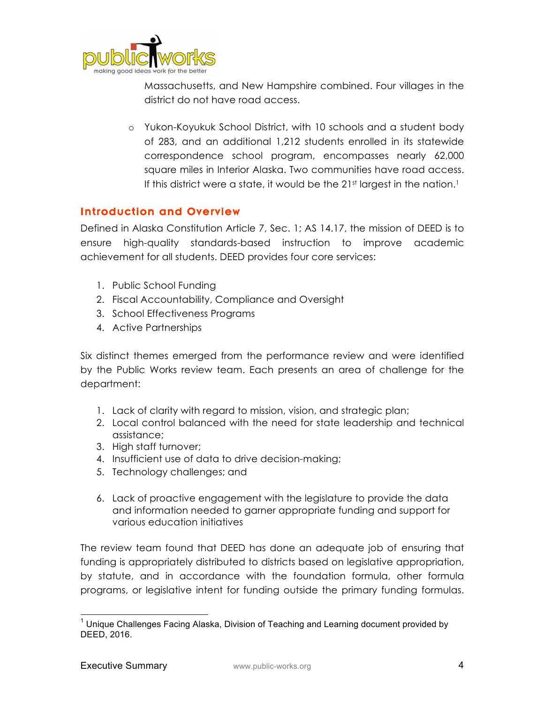

Massachusetts, and New Hampshire combined. Four villages in the district do not have road access.

o Yukon-Koyukuk School District, with 10 schools and a student body of 283, and an additional 1,212 students enrolled in its statewide correspondence school program, encompasses nearly 62,000 square miles in Interior Alaska. Two communities have road access. If this district were a state, it would be the  $21<sup>st</sup>$  largest in the nation.<sup>1</sup>

### Introduction and Overview

Defined in Alaska Constitution Article 7, Sec. 1; AS 14.17, the mission of DEED is to ensure high-quality standards-based instruction to improve academic achievement for all students. DEED provides four core services:

- 1. Public School Funding
- 2. Fiscal Accountability, Compliance and Oversight
- 3. School Effectiveness Programs
- 4. Active Partnerships

Six distinct themes emerged from the performance review and were identified by the Public Works review team. Each presents an area of challenge for the department:

- 1. Lack of clarity with regard to mission, vision, and strategic plan;
- 2. Local control balanced with the need for state leadership and technical assistance;
- 3. High staff turnover;
- 4. Insufficient use of data to drive decision-making;
- 5. Technology challenges; and
- 6. Lack of proactive engagement with the legislature to provide the data and information needed to garner appropriate funding and support for various education initiatives

The review team found that DEED has done an adequate job of ensuring that funding is appropriately distributed to districts based on legislative appropriation, by statute, and in accordance with the foundation formula, other formula programs, or legislative intent for funding outside the primary funding formulas.

 $1$  Unique Challenges Facing Alaska, Division of Teaching and Learning document provided by DEED, 2016.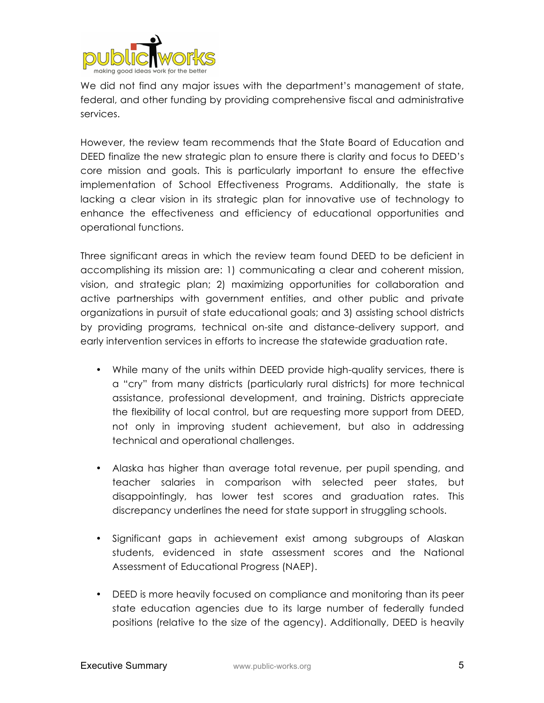

We did not find any major issues with the department's management of state, federal, and other funding by providing comprehensive fiscal and administrative services.

However, the review team recommends that the State Board of Education and DEED finalize the new strategic plan to ensure there is clarity and focus to DEED's core mission and goals. This is particularly important to ensure the effective implementation of School Effectiveness Programs. Additionally, the state is lacking a clear vision in its strategic plan for innovative use of technology to enhance the effectiveness and efficiency of educational opportunities and operational functions.

Three significant areas in which the review team found DEED to be deficient in accomplishing its mission are: 1) communicating a clear and coherent mission, vision, and strategic plan; 2) maximizing opportunities for collaboration and active partnerships with government entities, and other public and private organizations in pursuit of state educational goals; and 3) assisting school districts by providing programs, technical on-site and distance-delivery support, and early intervention services in efforts to increase the statewide graduation rate.

- While many of the units within DEED provide high-quality services, there is a "cry" from many districts (particularly rural districts) for more technical assistance, professional development, and training. Districts appreciate the flexibility of local control, but are requesting more support from DEED, not only in improving student achievement, but also in addressing technical and operational challenges.
- Alaska has higher than average total revenue, per pupil spending, and teacher salaries in comparison with selected peer states, but disappointingly, has lower test scores and graduation rates. This discrepancy underlines the need for state support in struggling schools.
- Significant gaps in achievement exist among subgroups of Alaskan students, evidenced in state assessment scores and the National Assessment of Educational Progress (NAEP).
- DEED is more heavily focused on compliance and monitoring than its peer state education agencies due to its large number of federally funded positions (relative to the size of the agency). Additionally, DEED is heavily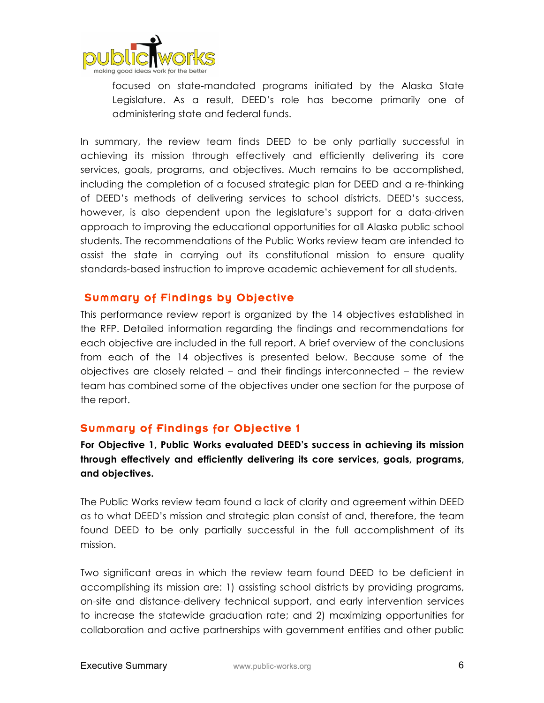

focused on state-mandated programs initiated by the Alaska State Legislature. As a result, DEED's role has become primarily one of administering state and federal funds.

In summary, the review team finds DEED to be only partially successful in achieving its mission through effectively and efficiently delivering its core services, goals, programs, and objectives. Much remains to be accomplished, including the completion of a focused strategic plan for DEED and a re-thinking of DEED's methods of delivering services to school districts. DEED's success, however, is also dependent upon the legislature's support for a data-driven approach to improving the educational opportunities for all Alaska public school students. The recommendations of the Public Works review team are intended to assist the state in carrying out its constitutional mission to ensure quality standards-based instruction to improve academic achievement for all students.

#### Summary of Findings by Objective

This performance review report is organized by the 14 objectives established in the RFP. Detailed information regarding the findings and recommendations for each objective are included in the full report. A brief overview of the conclusions from each of the 14 objectives is presented below. Because some of the objectives are closely related – and their findings interconnected – the review team has combined some of the objectives under one section for the purpose of the report.

### Summary of Findings for Objective 1

**For Objective 1, Public Works evaluated DEED's success in achieving its mission through effectively and efficiently delivering its core services, goals, programs, and objectives.** 

The Public Works review team found a lack of clarity and agreement within DEED as to what DEED's mission and strategic plan consist of and, therefore, the team found DEED to be only partially successful in the full accomplishment of its mission.

Two significant areas in which the review team found DEED to be deficient in accomplishing its mission are: 1) assisting school districts by providing programs, on-site and distance-delivery technical support, and early intervention services to increase the statewide graduation rate; and 2) maximizing opportunities for collaboration and active partnerships with government entities and other public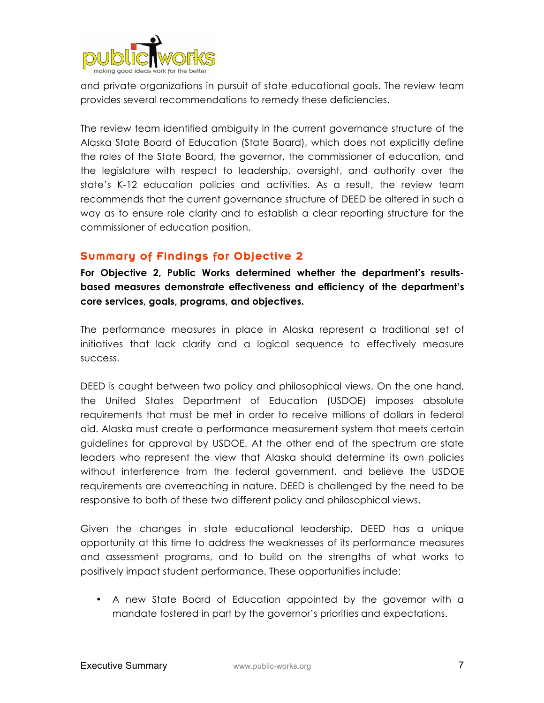

and private organizations in pursuit of state educational goals. The review team provides several recommendations to remedy these deficiencies.

The review team identified ambiguity in the current governance structure of the Alaska State Board of Education (State Board), which does not explicitly define the roles of the State Board, the governor, the commissioner of education, and the legislature with respect to leadership, oversight, and authority over the state's K-12 education policies and activities. As a result, the review team recommends that the current governance structure of DEED be altered in such a way as to ensure role clarity and to establish a clear reporting structure for the commissioner of education position.

# Summary of Findings for Objective 2

**For Objective 2, Public Works determined whether the department's resultsbased measures demonstrate effectiveness and efficiency of the department's core services, goals, programs, and objectives.**

The performance measures in place in Alaska represent a traditional set of initiatives that lack clarity and a logical sequence to effectively measure success.

DEED is caught between two policy and philosophical views. On the one hand, the United States Department of Education (USDOE) imposes absolute requirements that must be met in order to receive millions of dollars in federal aid. Alaska must create a performance measurement system that meets certain guidelines for approval by USDOE. At the other end of the spectrum are state leaders who represent the view that Alaska should determine its own policies without interference from the federal government, and believe the USDOE requirements are overreaching in nature. DEED is challenged by the need to be responsive to both of these two different policy and philosophical views.

Given the changes in state educational leadership, DEED has a unique opportunity at this time to address the weaknesses of its performance measures and assessment programs, and to build on the strengths of what works to positively impact student performance. These opportunities include:

• A new State Board of Education appointed by the governor with a mandate fostered in part by the governor's priorities and expectations.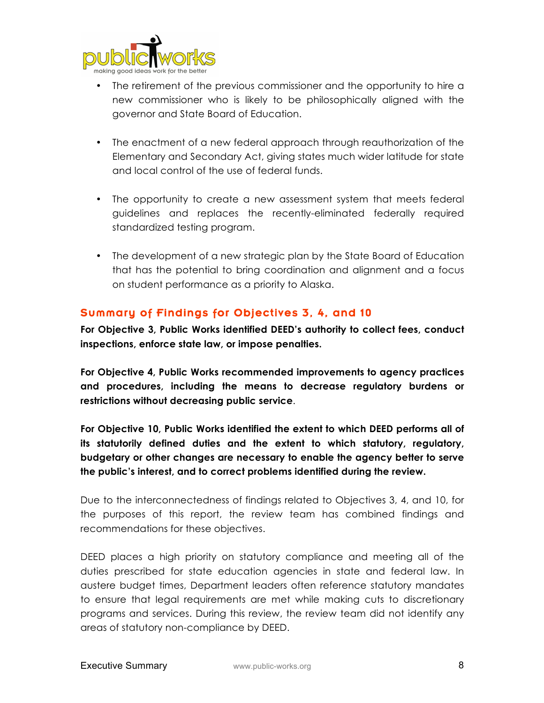

- The retirement of the previous commissioner and the opportunity to hire a new commissioner who is likely to be philosophically aligned with the governor and State Board of Education.
- The enactment of a new federal approach through reauthorization of the Elementary and Secondary Act, giving states much wider latitude for state and local control of the use of federal funds.
- The opportunity to create a new assessment system that meets federal guidelines and replaces the recently-eliminated federally required standardized testing program.
- The development of a new strategic plan by the State Board of Education that has the potential to bring coordination and alignment and a focus on student performance as a priority to Alaska.

### Summary of Findings for Objectives 3, 4, and 10

**For Objective 3, Public Works identified DEED's authority to collect fees, conduct inspections, enforce state law, or impose penalties.** 

**For Objective 4, Public Works recommended improvements to agency practices and procedures, including the means to decrease regulatory burdens or restrictions without decreasing public service**.

**For Objective 10, Public Works identified the extent to which DEED performs all of its statutorily defined duties and the extent to which statutory, regulatory, budgetary or other changes are necessary to enable the agency better to serve the public's interest, and to correct problems identified during the review.**

Due to the interconnectedness of findings related to Objectives 3, 4, and 10, for the purposes of this report, the review team has combined findings and recommendations for these objectives.

DEED places a high priority on statutory compliance and meeting all of the duties prescribed for state education agencies in state and federal law. In austere budget times, Department leaders often reference statutory mandates to ensure that legal requirements are met while making cuts to discretionary programs and services. During this review, the review team did not identify any areas of statutory non-compliance by DEED.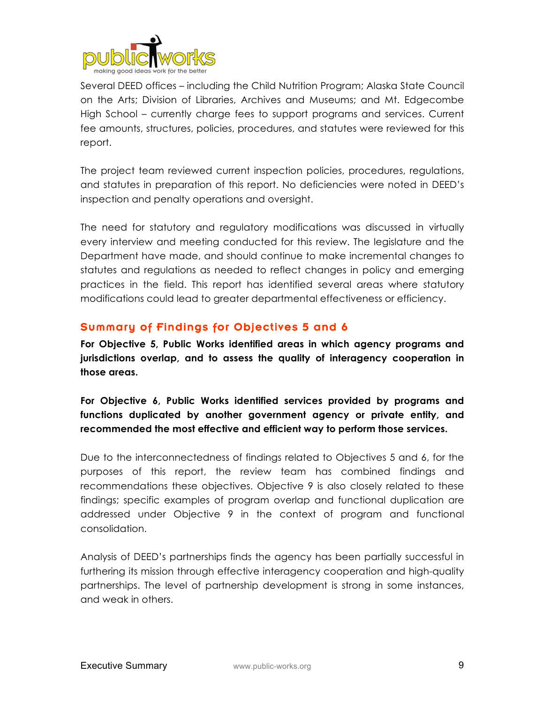

Several DEED offices – including the Child Nutrition Program; Alaska State Council on the Arts; Division of Libraries, Archives and Museums; and Mt. Edgecombe High School – currently charge fees to support programs and services. Current fee amounts, structures, policies, procedures, and statutes were reviewed for this report.

The project team reviewed current inspection policies, procedures, regulations, and statutes in preparation of this report. No deficiencies were noted in DEED's inspection and penalty operations and oversight.

The need for statutory and regulatory modifications was discussed in virtually every interview and meeting conducted for this review. The legislature and the Department have made, and should continue to make incremental changes to statutes and regulations as needed to reflect changes in policy and emerging practices in the field. This report has identified several areas where statutory modifications could lead to greater departmental effectiveness or efficiency.

### Summary of Findings for Objectives 5 and 6

**For Objective 5, Public Works identified areas in which agency programs and jurisdictions overlap, and to assess the quality of interagency cooperation in those areas.** 

**For Objective 6, Public Works identified services provided by programs and functions duplicated by another government agency or private entity, and recommended the most effective and efficient way to perform those services.**

Due to the interconnectedness of findings related to Objectives 5 and 6, for the purposes of this report, the review team has combined findings and recommendations these objectives. Objective 9 is also closely related to these findings; specific examples of program overlap and functional duplication are addressed under Objective 9 in the context of program and functional consolidation.

Analysis of DEED's partnerships finds the agency has been partially successful in furthering its mission through effective interagency cooperation and high-quality partnerships. The level of partnership development is strong in some instances, and weak in others.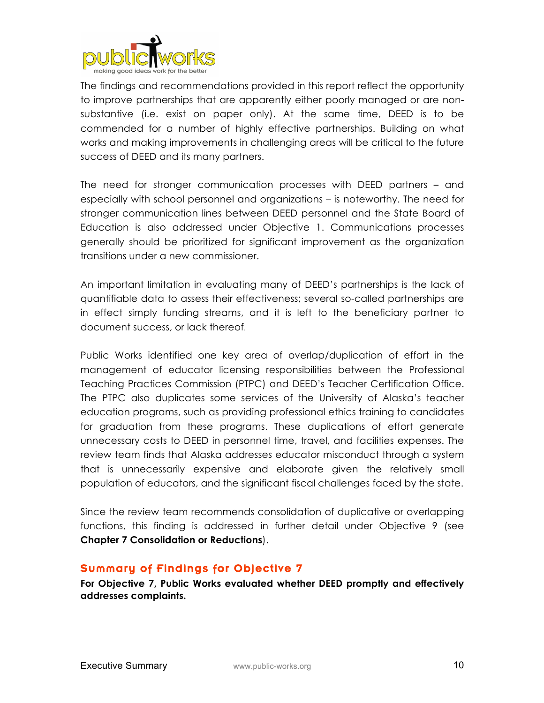

The findings and recommendations provided in this report reflect the opportunity to improve partnerships that are apparently either poorly managed or are nonsubstantive (i.e. exist on paper only). At the same time, DEED is to be commended for a number of highly effective partnerships. Building on what works and making improvements in challenging areas will be critical to the future success of DEED and its many partners.

The need for stronger communication processes with DEED partners – and especially with school personnel and organizations – is noteworthy. The need for stronger communication lines between DEED personnel and the State Board of Education is also addressed under Objective 1. Communications processes generally should be prioritized for significant improvement as the organization transitions under a new commissioner.

An important limitation in evaluating many of DEED's partnerships is the lack of quantifiable data to assess their effectiveness; several so-called partnerships are in effect simply funding streams, and it is left to the beneficiary partner to document success, or lack thereof.

Public Works identified one key area of overlap/duplication of effort in the management of educator licensing responsibilities between the Professional Teaching Practices Commission (PTPC) and DEED's Teacher Certification Office. The PTPC also duplicates some services of the University of Alaska's teacher education programs, such as providing professional ethics training to candidates for graduation from these programs. These duplications of effort generate unnecessary costs to DEED in personnel time, travel, and facilities expenses. The review team finds that Alaska addresses educator misconduct through a system that is unnecessarily expensive and elaborate given the relatively small population of educators, and the significant fiscal challenges faced by the state.

Since the review team recommends consolidation of duplicative or overlapping functions, this finding is addressed in further detail under Objective 9 (see **Chapter 7 Consolidation or Reductions**).

#### Summary of Findings for Objective 7

**For Objective 7, Public Works evaluated whether DEED promptly and effectively addresses complaints.**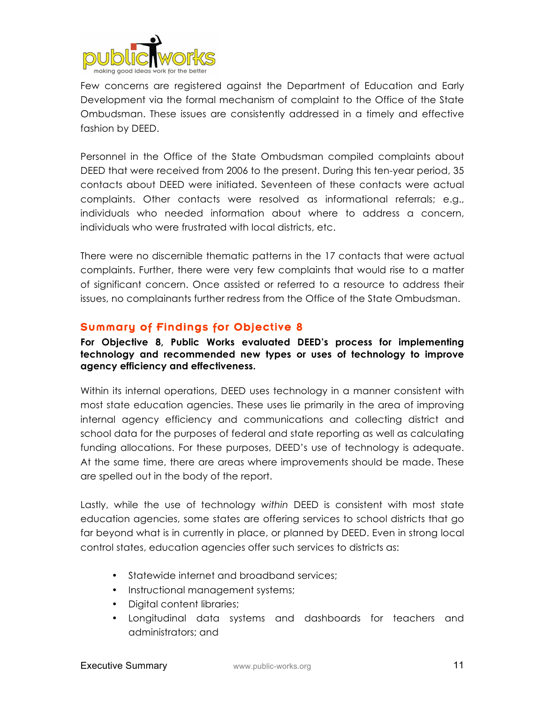

Few concerns are registered against the Department of Education and Early Development via the formal mechanism of complaint to the Office of the State Ombudsman. These issues are consistently addressed in a timely and effective fashion by DEED.

Personnel in the Office of the State Ombudsman compiled complaints about DEED that were received from 2006 to the present. During this ten-year period, 35 contacts about DEED were initiated. Seventeen of these contacts were actual complaints. Other contacts were resolved as informational referrals; e.g., individuals who needed information about where to address a concern, individuals who were frustrated with local districts, etc.

There were no discernible thematic patterns in the 17 contacts that were actual complaints. Further, there were very few complaints that would rise to a matter of significant concern. Once assisted or referred to a resource to address their issues, no complainants further redress from the Office of the State Ombudsman.

### Summary of Findings for Objective 8

**For Objective 8, Public Works evaluated DEED's process for implementing technology and recommended new types or uses of technology to improve agency efficiency and effectiveness.**

Within its internal operations, DEED uses technology in a manner consistent with most state education agencies. These uses lie primarily in the area of improving internal agency efficiency and communications and collecting district and school data for the purposes of federal and state reporting as well as calculating funding allocations. For these purposes, DEED's use of technology is adequate. At the same time, there are areas where improvements should be made. These are spelled out in the body of the report.

Lastly, while the use of technology *within* DEED is consistent with most state education agencies, some states are offering services to school districts that go far beyond what is in currently in place, or planned by DEED. Even in strong local control states, education agencies offer such services to districts as:

- Statewide internet and broadband services;
- Instructional management systems;
- Digital content libraries;
- Longitudinal data systems and dashboards for teachers and administrators; and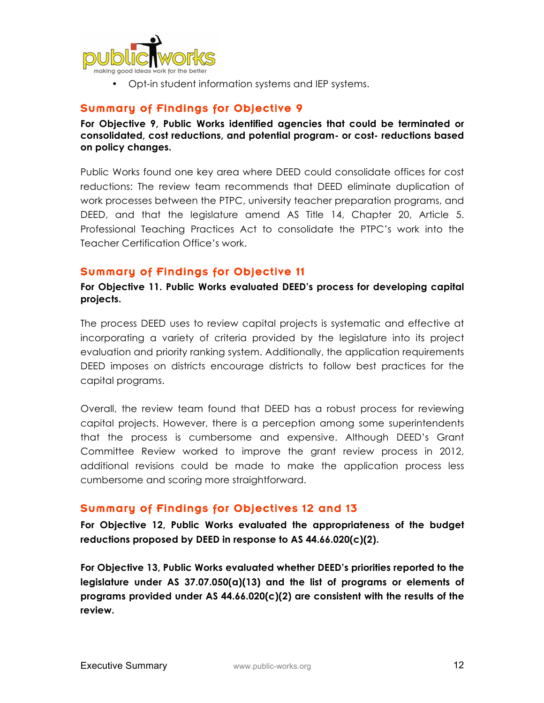

• Opt-in student information systems and IEP systems.

## Summary of Findings for Objective 9

**For Objective 9, Public Works identified agencies that could be terminated or consolidated, cost reductions, and potential program- or cost- reductions based on policy changes.**

Public Works found one key area where DEED could consolidate offices for cost reductions: The review team recommends that DEED eliminate duplication of work processes between the PTPC, university teacher preparation programs, and DEED, and that the legislature amend AS Title 14, Chapter 20, Article 5. Professional Teaching Practices Act to consolidate the PTPC's work into the Teacher Certification Office's work.

#### Summary of Findings for Objective 11

**For Objective 11. Public Works evaluated DEED's process for developing capital projects.**

The process DEED uses to review capital projects is systematic and effective at incorporating a variety of criteria provided by the legislature into its project evaluation and priority ranking system. Additionally, the application requirements DEED imposes on districts encourage districts to follow best practices for the capital programs.

Overall, the review team found that DEED has a robust process for reviewing capital projects. However, there is a perception among some superintendents that the process is cumbersome and expensive. Although DEED's Grant Committee Review worked to improve the grant review process in 2012, additional revisions could be made to make the application process less cumbersome and scoring more straightforward.

### Summary of Findings for Objectives 12 and 13

**For Objective 12, Public Works evaluated the appropriateness of the budget reductions proposed by DEED in response to AS 44.66.020(c)(2).** 

**For Objective 13, Public Works evaluated whether DEED's priorities reported to the legislature under AS 37.07.050(a)(13) and the list of programs or elements of programs provided under AS 44.66.020(c)(2) are consistent with the results of the review.**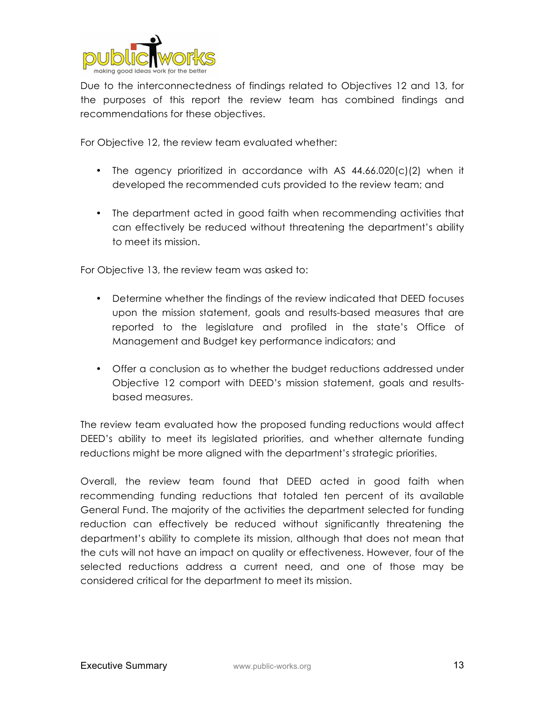

Due to the interconnectedness of findings related to Objectives 12 and 13, for the purposes of this report the review team has combined findings and recommendations for these objectives.

For Objective 12, the review team evaluated whether:

- The agency prioritized in accordance with AS 44.66.020(c)(2) when it developed the recommended cuts provided to the review team; and
- The department acted in good faith when recommending activities that can effectively be reduced without threatening the department's ability to meet its mission.

For Objective 13, the review team was asked to:

- Determine whether the findings of the review indicated that DEED focuses upon the mission statement, goals and results-based measures that are reported to the legislature and profiled in the state's Office of Management and Budget key performance indicators; and
- Offer a conclusion as to whether the budget reductions addressed under Objective 12 comport with DEED's mission statement, goals and resultsbased measures.

The review team evaluated how the proposed funding reductions would affect DEED's ability to meet its legislated priorities, and whether alternate funding reductions might be more aligned with the department's strategic priorities.

Overall, the review team found that DEED acted in good faith when recommending funding reductions that totaled ten percent of its available General Fund. The majority of the activities the department selected for funding reduction can effectively be reduced without significantly threatening the department's ability to complete its mission, although that does not mean that the cuts will not have an impact on quality or effectiveness. However, four of the selected reductions address a current need, and one of those may be considered critical for the department to meet its mission.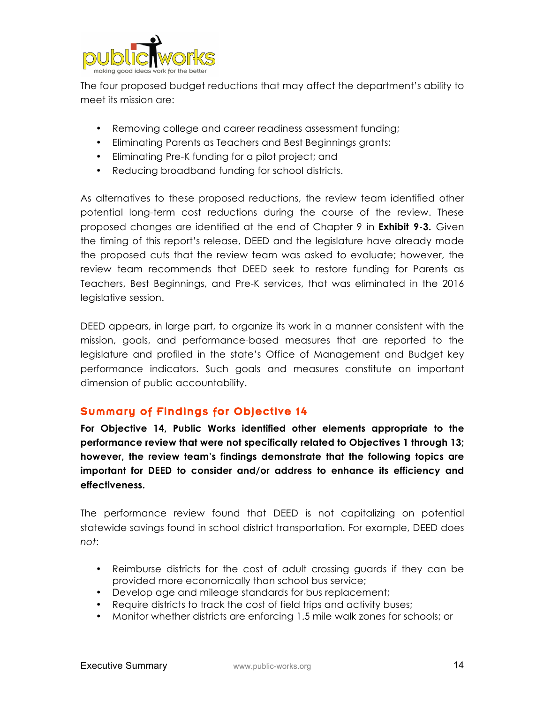

The four proposed budget reductions that may affect the department's ability to meet its mission are:

- Removing college and career readiness assessment funding;
- Eliminating Parents as Teachers and Best Beginnings grants;
- Eliminating Pre-K funding for a pilot project; and
- Reducing broadband funding for school districts.

As alternatives to these proposed reductions, the review team identified other potential long-term cost reductions during the course of the review. These proposed changes are identified at the end of Chapter 9 in **Exhibit 9-3.** Given the timing of this report's release, DEED and the legislature have already made the proposed cuts that the review team was asked to evaluate; however, the review team recommends that DEED seek to restore funding for Parents as Teachers, Best Beginnings, and Pre-K services, that was eliminated in the 2016 legislative session.

DEED appears, in large part, to organize its work in a manner consistent with the mission, goals, and performance-based measures that are reported to the legislature and profiled in the state's Office of Management and Budget key performance indicators. Such goals and measures constitute an important dimension of public accountability.

### Summary of Findings for Objective 14

**For Objective 14, Public Works identified other elements appropriate to the performance review that were not specifically related to Objectives 1 through 13; however, the review team's findings demonstrate that the following topics are important for DEED to consider and/or address to enhance its efficiency and effectiveness.** 

The performance review found that DEED is not capitalizing on potential statewide savings found in school district transportation. For example, DEED does *not*:

- Reimburse districts for the cost of adult crossing guards if they can be provided more economically than school bus service;
- Develop age and mileage standards for bus replacement;
- Require districts to track the cost of field trips and activity buses;
- Monitor whether districts are enforcing 1.5 mile walk zones for schools; or